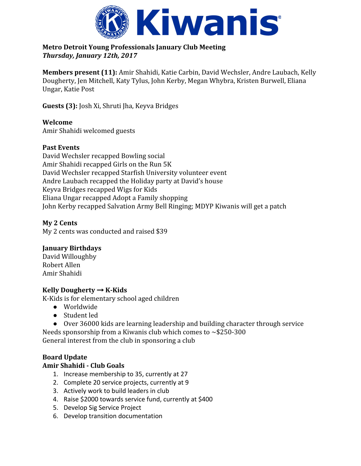

## **Metro Detroit Young Professionals January Club Meeting** *Thursday, January 12th, 2017*

**Members present (11):** Amir Shahidi, Katie Carbin, David Wechsler, Andre Laubach, Kelly Dougherty, Jen Mitchell, Katy Tylus, John Kerby, Megan Whybra, Kristen Burwell, Eliana Ungar, Katie Post

**Guests (3):** Josh Xi, Shruti Jha, Keyva Bridges

**Welcome** Amir Shahidi welcomed guests

## **Past Events**

David Wechsler recapped Bowling social Amir Shahidi recapped Girls on the Run 5K David Wechsler recapped Starfish University volunteer event Andre Laubach recapped the Holiday party at David's house Keyva Bridges recapped Wigs for Kids Eliana Ungar recapped Adopt a Family shopping John Kerby recapped Salvation Army Bell Ringing; MDYP Kiwanis will get a patch

# **My 2 Cents**

My 2 cents was conducted and raised \$39

# **January Birthdays**

David Willoughby Robert Allen Amir Shahidi

## **Kelly Dougherty** → **K-Kids**

K-Kids is for elementary school aged children

- Worldwide
- Student led
- Over 36000 kids are learning leadership and building character through service Needs sponsorship from a Kiwanis club which comes to  $\sim$ \$250-300 General interest from the club in sponsoring a club

# **Board Update**

## **Amir Shahidi - Club Goals**

- 1. Increase membership to 35, currently at 27
- 2. Complete 20 service projects, currently at 9
- 3. Actively work to build leaders in club
- 4. Raise \$2000 towards service fund, currently at \$400
- 5. Develop Sig Service Project
- 6. Develop transition documentation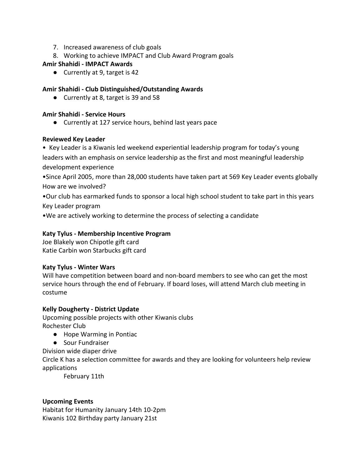- 7. Increased awareness of club goals
- 8. Working to achieve IMPACT and Club Award Program goals

### **Amir Shahidi - IMPACT Awards**

● Currently at 9, target is 42

### **Amir Shahidi - Club Distinguished/Outstanding Awards**

● Currently at 8, target is 39 and 58

### **Amir Shahidi - Service Hours**

● Currently at 127 service hours, behind last years pace

#### **Reviewed Key Leader**

• Key Leader is a Kiwanis led weekend experiential leadership program for today's young leaders with an emphasis on service leadership as the first and most meaningful leadership development experience

•Since April 2005, more than 28,000 students have taken part at 569 Key Leader events globally How are we involved?

•Our club has earmarked funds to sponsor a local high school student to take part in this years Key Leader program

•We are actively working to determine the process of selecting a candidate

### **Katy Tylus - Membership Incentive Program**

Joe Blakely won Chipotle gift card Katie Carbin won Starbucks gift card

#### **Katy Tylus - Winter Wars**

Will have competition between board and non-board members to see who can get the most service hours through the end of February. If board loses, will attend March club meeting in costume

## **Kelly Dougherty - District Update**

Upcoming possible projects with other Kiwanis clubs Rochester Club

- Hope Warming in Pontiac
- Sour Fundraiser

Division wide diaper drive

Circle K has a selection committee for awards and they are looking for volunteers help review applications

February 11th

#### **Upcoming Events**

Habitat for Humanity January 14th 10-2pm Kiwanis 102 Birthday party January 21st